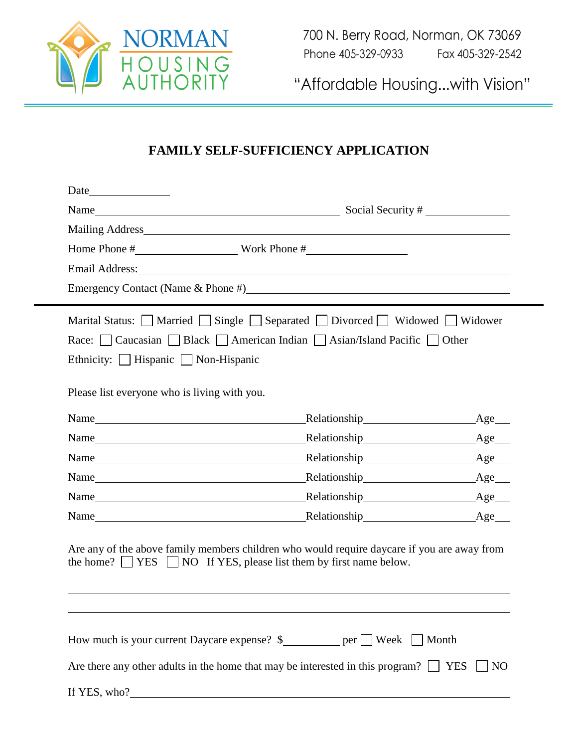

"Affordable Housing...with Vision"

## **FAMILY SELF-SUFFICIENCY APPLICATION**

|                                              |                                                                                                                                                                                                                                | Mailing Address Mailing Address |
|----------------------------------------------|--------------------------------------------------------------------------------------------------------------------------------------------------------------------------------------------------------------------------------|---------------------------------|
|                                              |                                                                                                                                                                                                                                |                                 |
|                                              | Email Address: Note and Address and Address and Address and Address and Address and Address and Address and Address and Address and Address and Address and Address and Address and Address and Address and Address and Addres |                                 |
|                                              | Emergency Contact (Name & Phone #)                                                                                                                                                                                             |                                 |
|                                              | Marital Status: $\Box$ Married $\Box$ Single $\Box$ Separated $\Box$ Divorced $\Box$ Widowed $\Box$ Widower                                                                                                                    |                                 |
|                                              | Race: Caucasian Black American Indian Asian/Island Pacific Other                                                                                                                                                               |                                 |
| Ethnicity: Hispanic Non-Hispanic             |                                                                                                                                                                                                                                |                                 |
|                                              |                                                                                                                                                                                                                                |                                 |
| Please list everyone who is living with you. |                                                                                                                                                                                                                                |                                 |
| Name                                         | Relationship<br><u>Relationship</u>                                                                                                                                                                                            | Age                             |
| Name                                         | Relationship                                                                                                                                                                                                                   | Age__                           |
| Name                                         | Relationship<br><u>Relationship</u>                                                                                                                                                                                            | Age__                           |
| Name                                         | Relationship expansion of the set of the set of the set of the set of the set of the set of the set of the set of the set of the set of the set of the set of the set of the set of the set of the set of the set of the set o | Age                             |
| Name                                         | Relationship <b>Exercise 2018</b>                                                                                                                                                                                              | $Age$ <sub>___</sub>            |
| Name Name                                    | Relationship<br><u>Relationship</u>                                                                                                                                                                                            | Age                             |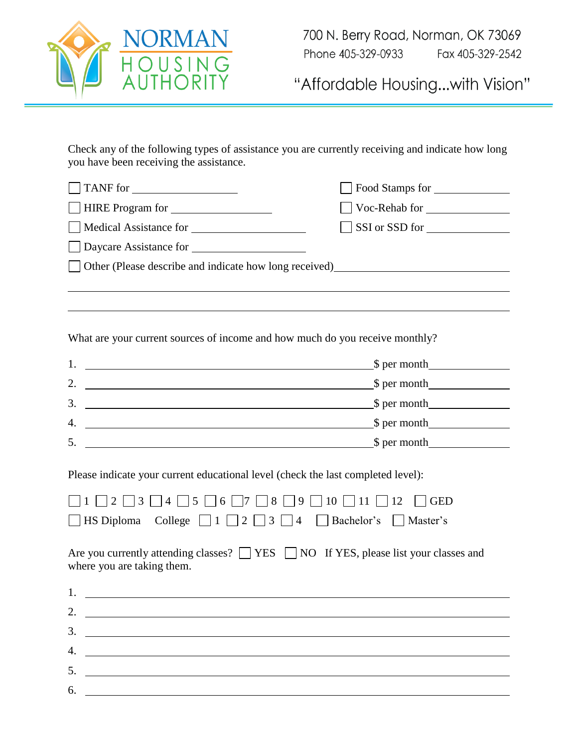

"Affordable Housing...with Vision"

Check any of the following types of assistance you are currently receiving and indicate how long you have been receiving the assistance.

| TANF for                                                                                                                                                                                                                                                                                                                                                                                                                                          | Food Stamps for                                                                 |
|---------------------------------------------------------------------------------------------------------------------------------------------------------------------------------------------------------------------------------------------------------------------------------------------------------------------------------------------------------------------------------------------------------------------------------------------------|---------------------------------------------------------------------------------|
| HIRE Program for                                                                                                                                                                                                                                                                                                                                                                                                                                  | Voc-Rehab for                                                                   |
|                                                                                                                                                                                                                                                                                                                                                                                                                                                   | SSI or SSD for                                                                  |
|                                                                                                                                                                                                                                                                                                                                                                                                                                                   |                                                                                 |
|                                                                                                                                                                                                                                                                                                                                                                                                                                                   | Other (Please describe and indicate how long received)<br><u>Described</u> 2014 |
|                                                                                                                                                                                                                                                                                                                                                                                                                                                   |                                                                                 |
|                                                                                                                                                                                                                                                                                                                                                                                                                                                   |                                                                                 |
| What are your current sources of income and how much do you receive monthly?                                                                                                                                                                                                                                                                                                                                                                      |                                                                                 |
|                                                                                                                                                                                                                                                                                                                                                                                                                                                   | 1. $\qquad \qquad \text{S per month}$                                           |
|                                                                                                                                                                                                                                                                                                                                                                                                                                                   | 2. $\frac{\text{S per month}}{\text{S per month}}$                              |
|                                                                                                                                                                                                                                                                                                                                                                                                                                                   | 3. $\qquad \qquad \text{S per month}$                                           |
|                                                                                                                                                                                                                                                                                                                                                                                                                                                   | 4. $\qquad \qquad \text{S per month}$                                           |
|                                                                                                                                                                                                                                                                                                                                                                                                                                                   | 5. $\qquad \qquad \qquad \text{S per month}$                                    |
| Please indicate your current educational level (check the last completed level):<br>$\Box$ 1 $\Box$ 2 $\Box$ 3 $\Box$ 4 $\Box$ 5 $\Box$ 6 $\Box$ 7 $\Box$ 8 $\Box$ 9 $\Box$ 10 $\Box$ 11 $\Box$ 12 $\Box$ GED<br>□ HS Diploma College $\Box$ 1 $\Box$ 2 $\Box$ 3 $\Box$ 4 $\Box$ Bachelor's $\Box$ Master's<br>Are you currently attending classes? $\Box$ YES $\Box$ NO If YES, please list your classes and<br>where you are taking them.<br>1. |                                                                                 |
| 2.                                                                                                                                                                                                                                                                                                                                                                                                                                                |                                                                                 |
| 3.                                                                                                                                                                                                                                                                                                                                                                                                                                                |                                                                                 |
| 4.                                                                                                                                                                                                                                                                                                                                                                                                                                                |                                                                                 |
| 5.                                                                                                                                                                                                                                                                                                                                                                                                                                                |                                                                                 |
| 6.                                                                                                                                                                                                                                                                                                                                                                                                                                                |                                                                                 |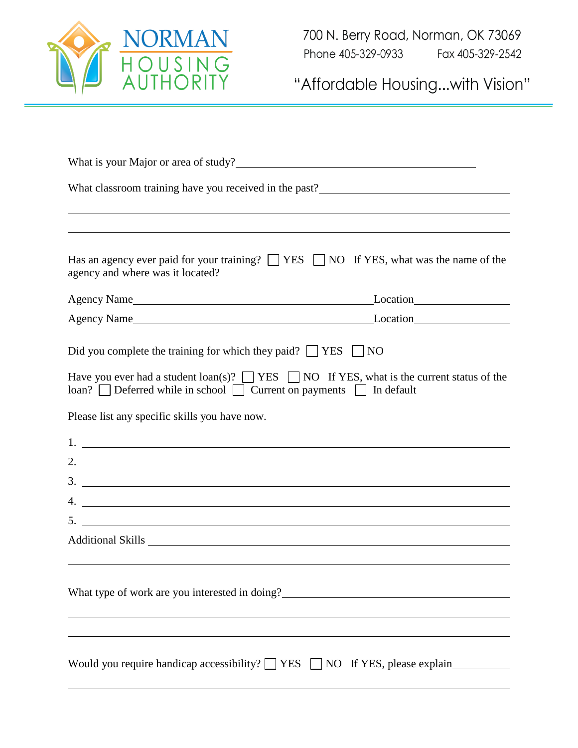

"Affordable Housing...with Vision"

| What is your Major or area of study?                                                                                                                                                                                                   |
|----------------------------------------------------------------------------------------------------------------------------------------------------------------------------------------------------------------------------------------|
|                                                                                                                                                                                                                                        |
|                                                                                                                                                                                                                                        |
|                                                                                                                                                                                                                                        |
| Has an agency ever paid for your training? $\Box$ YES $\Box$ NO If YES, what was the name of the<br>agency and where was it located?                                                                                                   |
|                                                                                                                                                                                                                                        |
|                                                                                                                                                                                                                                        |
| Did you complete the training for which they paid? $\Box$ YES $\Box$ NO                                                                                                                                                                |
| Have you ever had a student loan(s)? $\Box$ YES $\Box$ NO If YES, what is the current status of the<br>$\lceil \cdot \rceil$ Deferred while in school $\lceil \cdot \rceil$ Current on payments $\lceil \cdot \rceil$ In default       |
| Please list any specific skills you have now.                                                                                                                                                                                          |
|                                                                                                                                                                                                                                        |
| 2. $\overline{\phantom{a}}$                                                                                                                                                                                                            |
| $3.$ $\overline{\phantom{a}}$                                                                                                                                                                                                          |
|                                                                                                                                                                                                                                        |
|                                                                                                                                                                                                                                        |
|                                                                                                                                                                                                                                        |
| What type of work are you interested in doing?<br><u>Universe of the set of the set of the set of the set of the set of the set of the set of the set of the set of the set of the set of the set of the set of the set of the set</u> |
|                                                                                                                                                                                                                                        |
|                                                                                                                                                                                                                                        |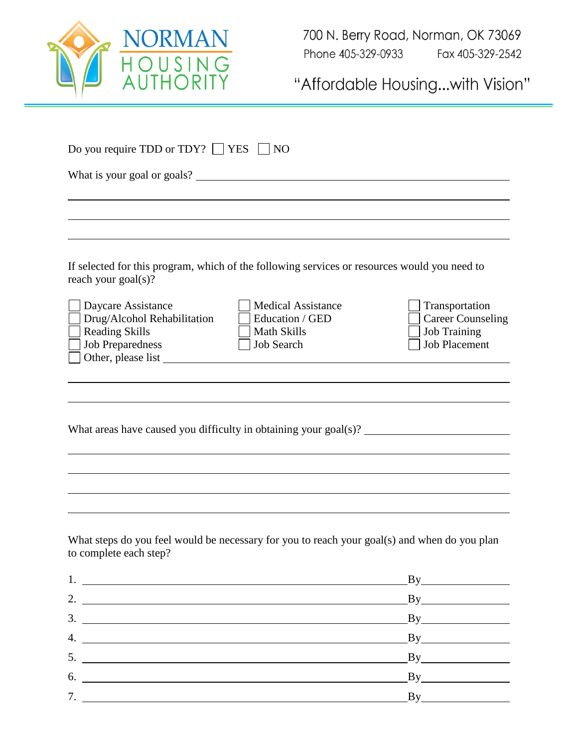

"Affordable Housing...with Vision"

|                                                                                                                                                                                                                                                                                                                                              | What is your goal or goals?                                                             |                                                                                           |
|----------------------------------------------------------------------------------------------------------------------------------------------------------------------------------------------------------------------------------------------------------------------------------------------------------------------------------------------|-----------------------------------------------------------------------------------------|-------------------------------------------------------------------------------------------|
|                                                                                                                                                                                                                                                                                                                                              |                                                                                         |                                                                                           |
|                                                                                                                                                                                                                                                                                                                                              |                                                                                         |                                                                                           |
|                                                                                                                                                                                                                                                                                                                                              |                                                                                         |                                                                                           |
| If selected for this program, which of the following services or resources would you need to<br>reach your goal(s)?                                                                                                                                                                                                                          |                                                                                         |                                                                                           |
| Daycare Assistance<br>Drug/Alcohol Rehabilitation<br><b>Reading Skills</b><br><b>Job Preparedness</b><br>Other, please list <u> and</u> the set of the set of the set of the set of the set of the set of the set of the set of the set of the set of the set of the set of the set of the set of the set of the set of the set of the set o | <b>Medical Assistance</b><br>Education / GED<br><b>Math Skills</b><br><b>Job Search</b> | Transportation<br><b>Career Counseling</b><br><b>Job Training</b><br><b>Job Placement</b> |
|                                                                                                                                                                                                                                                                                                                                              |                                                                                         |                                                                                           |
|                                                                                                                                                                                                                                                                                                                                              |                                                                                         |                                                                                           |
|                                                                                                                                                                                                                                                                                                                                              |                                                                                         |                                                                                           |
| What areas have caused you difficulty in obtaining your goal(s)?                                                                                                                                                                                                                                                                             |                                                                                         |                                                                                           |
|                                                                                                                                                                                                                                                                                                                                              |                                                                                         |                                                                                           |
|                                                                                                                                                                                                                                                                                                                                              |                                                                                         |                                                                                           |
|                                                                                                                                                                                                                                                                                                                                              |                                                                                         |                                                                                           |
|                                                                                                                                                                                                                                                                                                                                              |                                                                                         |                                                                                           |
|                                                                                                                                                                                                                                                                                                                                              |                                                                                         |                                                                                           |
|                                                                                                                                                                                                                                                                                                                                              |                                                                                         |                                                                                           |
|                                                                                                                                                                                                                                                                                                                                              |                                                                                         |                                                                                           |
|                                                                                                                                                                                                                                                                                                                                              |                                                                                         |                                                                                           |
|                                                                                                                                                                                                                                                                                                                                              |                                                                                         |                                                                                           |
|                                                                                                                                                                                                                                                                                                                                              |                                                                                         |                                                                                           |
|                                                                                                                                                                                                                                                                                                                                              |                                                                                         |                                                                                           |
|                                                                                                                                                                                                                                                                                                                                              |                                                                                         |                                                                                           |
| What steps do you feel would be necessary for you to reach your goal(s) and when do you plan<br>to complete each step?<br>1.<br>2.<br>$\overline{\phantom{a}}$<br>6.<br><u> 1980 - Jan Samuel Barbara, margaret eta idazlea (h. 1980).</u>                                                                                                   |                                                                                         | $\mathbf{By}$<br>$\mathbf{By}$<br>By<br>By<br>$\mathbf{By}$<br>By                         |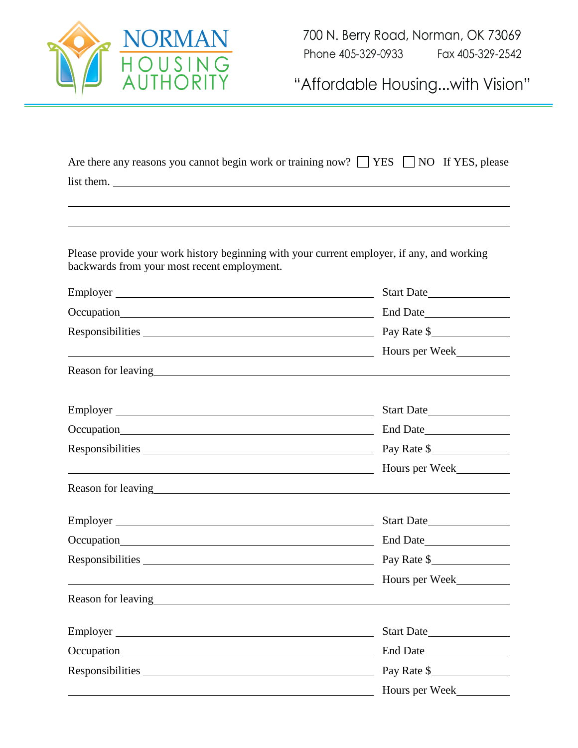

700 N. Berry Road, Norman, OK 73069 Fax 405-329-2542 Phone 405-329-0933

"Affordable Housing...with Vision"

| Are there any reasons you cannot begin work or training now? $\Box$ YES $\Box$ NO If YES, please |  |
|--------------------------------------------------------------------------------------------------|--|
| list them.                                                                                       |  |

Please provide your work history beginning with your current employer, if any, and working backwards from your most recent employment.

| Employer                                                                                                                                                                                                                       | Start Date                                                                                                                                                                                                                             |
|--------------------------------------------------------------------------------------------------------------------------------------------------------------------------------------------------------------------------------|----------------------------------------------------------------------------------------------------------------------------------------------------------------------------------------------------------------------------------------|
|                                                                                                                                                                                                                                | End Date                                                                                                                                                                                                                               |
|                                                                                                                                                                                                                                | Pay Rate \$                                                                                                                                                                                                                            |
|                                                                                                                                                                                                                                | Hours per Week                                                                                                                                                                                                                         |
| Reason for leaving the state of the state of the state of the state of the state of the state of the state of the state of the state of the state of the state of the state of the state of the state of the state of the stat |                                                                                                                                                                                                                                        |
|                                                                                                                                                                                                                                | Start Date                                                                                                                                                                                                                             |
|                                                                                                                                                                                                                                |                                                                                                                                                                                                                                        |
| Responsibilities exponentially a control of the set of the set of the set of the set of the set of the set of the set of the set of the set of the set of the set of the set of the set of the set of the set of the set of th | Pay Rate \$                                                                                                                                                                                                                            |
| <u> 1989 - Johann Barn, fransk politik (d. 1989)</u>                                                                                                                                                                           | Hours per Week                                                                                                                                                                                                                         |
|                                                                                                                                                                                                                                | Reason for leaving<br><u>example and the contract of the contract of the contract of the contract of the contract of the contract of the contract of the contract of the contract of the contract of the contract of the contract </u> |
| Employer                                                                                                                                                                                                                       | Start Date                                                                                                                                                                                                                             |
|                                                                                                                                                                                                                                |                                                                                                                                                                                                                                        |
| Responsibilities exponentially a control of the set of the set of the set of the set of the set of the set of the set of the set of the set of the set of the set of the set of the set of the set of the set of the set of th | Pay Rate \$                                                                                                                                                                                                                            |
|                                                                                                                                                                                                                                | Hours per Week                                                                                                                                                                                                                         |
|                                                                                                                                                                                                                                |                                                                                                                                                                                                                                        |
|                                                                                                                                                                                                                                | Start Date                                                                                                                                                                                                                             |
|                                                                                                                                                                                                                                | End Date                                                                                                                                                                                                                               |
|                                                                                                                                                                                                                                | Pay Rate \$                                                                                                                                                                                                                            |
|                                                                                                                                                                                                                                | Hours per Week                                                                                                                                                                                                                         |